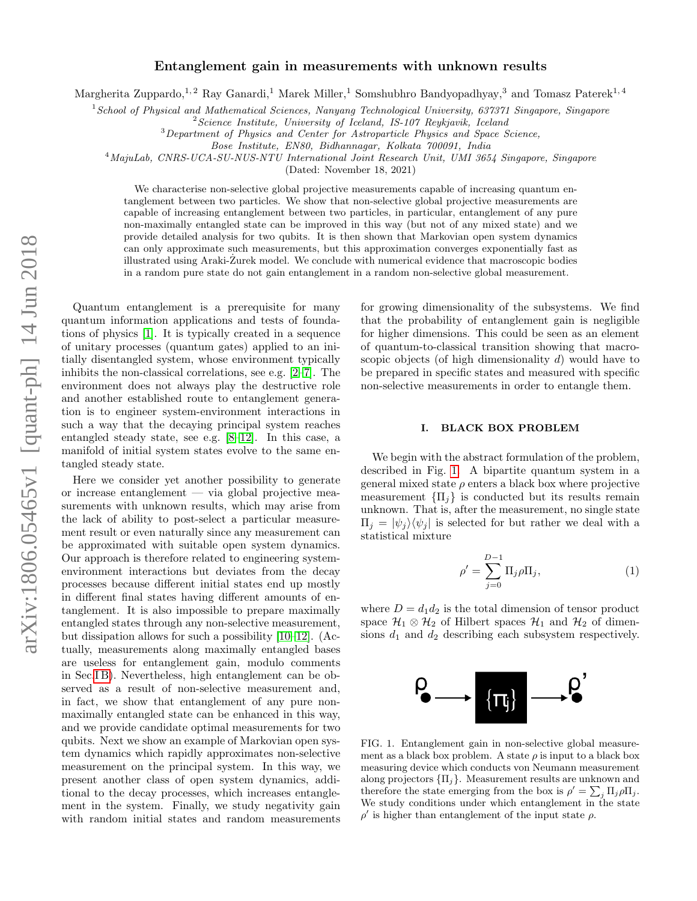# Entanglement gain in measurements with unknown results

Margherita Zuppardo,<sup>1, 2</sup> Ray Ganardi,<sup>1</sup> Marek Miller,<sup>1</sup> Somshubhro Bandyopadhyay,<sup>3</sup> and Tomasz Paterek<sup>1, 4</sup>

<sup>1</sup>School of Physical and Mathematical Sciences, Nanyang Technological University, 637371 Singapore, Singapore

 $2$ Science Institute, University of Iceland, IS-107 Reykjavik, Iceland

<sup>3</sup>Department of Physics and Center for Astroparticle Physics and Space Science,

Bose Institute, EN80, Bidhannagar, Kolkata 700091, India

<sup>4</sup>MajuLab, CNRS-UCA-SU-NUS-NTU International Joint Research Unit, UMI 3654 Singapore, Singapore

(Dated: November 18, 2021)

We characterise non-selective global projective measurements capable of increasing quantum entanglement between two particles. We show that non-selective global projective measurements are capable of increasing entanglement between two particles, in particular, entanglement of any pure non-maximally entangled state can be improved in this way (but not of any mixed state) and we provide detailed analysis for two qubits. It is then shown that Markovian open system dynamics can only approximate such measurements, but this approximation converges exponentially fast as illustrated using Araki-Zurek model. We conclude with numerical evidence that macroscopic bodies ˙ in a random pure state do not gain entanglement in a random non-selective global measurement.

Quantum entanglement is a prerequisite for many quantum information applications and tests of foundations of physics [\[1\]](#page-7-0). It is typically created in a sequence of unitary processes (quantum gates) applied to an initially disentangled system, whose environment typically inhibits the non-classical correlations, see e.g. [\[2–](#page-7-1)[7\]](#page-7-2). The environment does not always play the destructive role and another established route to entanglement generation is to engineer system-environment interactions in such a way that the decaying principal system reaches entangled steady state, see e.g. [\[8–](#page-7-3)[12\]](#page-8-0). In this case, a manifold of initial system states evolve to the same entangled steady state.

Here we consider yet another possibility to generate or increase entanglement — via global projective measurements with unknown results, which may arise from the lack of ability to post-select a particular measurement result or even naturally since any measurement can be approximated with suitable open system dynamics. Our approach is therefore related to engineering systemenvironment interactions but deviates from the decay processes because different initial states end up mostly in different final states having different amounts of entanglement. It is also impossible to prepare maximally entangled states through any non-selective measurement, but dissipation allows for such a possibility [\[10–](#page-7-4)[12\]](#page-8-0). (Actually, measurements along maximally entangled bases are useless for entanglement gain, modulo comments in Sec[.I B\)](#page-1-0). Nevertheless, high entanglement can be observed as a result of non-selective measurement and, in fact, we show that entanglement of any pure nonmaximally entangled state can be enhanced in this way, and we provide candidate optimal measurements for two qubits. Next we show an example of Markovian open system dynamics which rapidly approximates non-selective measurement on the principal system. In this way, we present another class of open system dynamics, additional to the decay processes, which increases entanglement in the system. Finally, we study negativity gain with random initial states and random measurements

for growing dimensionality of the subsystems. We find that the probability of entanglement gain is negligible for higher dimensions. This could be seen as an element of quantum-to-classical transition showing that macroscopic objects (of high dimensionality d) would have to be prepared in specific states and measured with specific non-selective measurements in order to entangle them.

## I. BLACK BOX PROBLEM

We begin with the abstract formulation of the problem, described in Fig. [1.](#page-0-0) A bipartite quantum system in a general mixed state  $\rho$  enters a black box where projective measurement  ${\{\Pi_i\}}$  is conducted but its results remain unknown. That is, after the measurement, no single state  $\Pi_i = |\psi_i\rangle \langle \psi_i|$  is selected for but rather we deal with a statistical mixture

<span id="page-0-1"></span>
$$
\rho' = \sum_{j=0}^{D-1} \Pi_j \rho \Pi_j,
$$
\n(1)

where  $D = d_1 d_2$  is the total dimension of tensor product space  $\mathcal{H}_1 \otimes \mathcal{H}_2$  of Hilbert spaces  $\mathcal{H}_1$  and  $\mathcal{H}_2$  of dimensions  $d_1$  and  $d_2$  describing each subsystem respectively.



<span id="page-0-0"></span>FIG. 1. Entanglement gain in non-selective global measurement as a black box problem. A state  $\rho$  is input to a black box measuring device which conducts von Neumann measurement along projectors  $\{\Pi_i\}$ . Measurement results are unknown and therefore the state emerging from the box is  $\rho' = \sum_j \Pi_j \rho \Pi_j$ . We study conditions under which entanglement in the state  $\rho'$  is higher than entanglement of the input state  $\rho$ .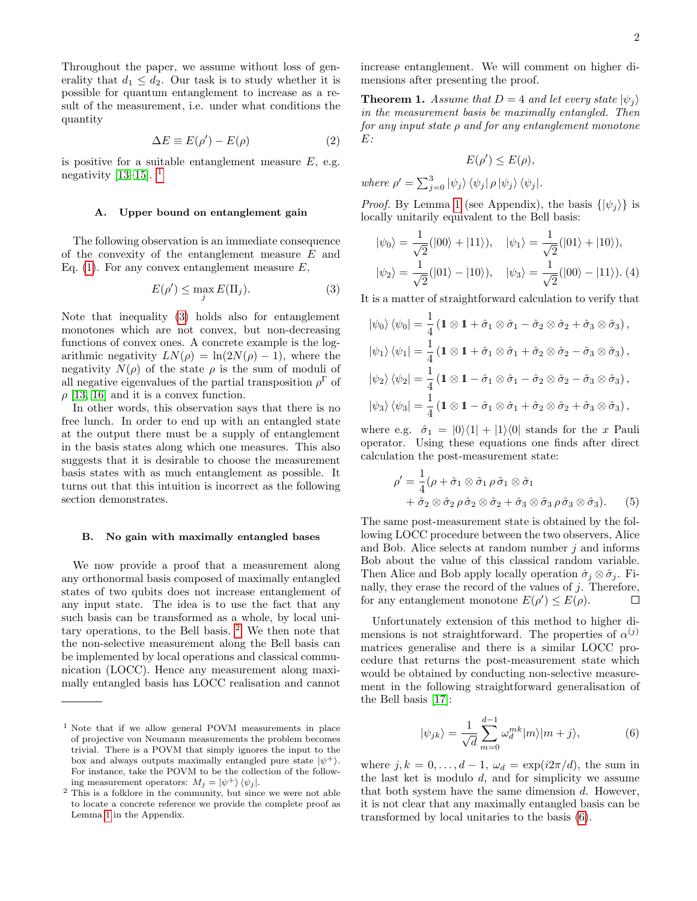Throughout the paper, we assume without loss of generality that  $d_1 \leq d_2$ . Our task is to study whether it is possible for quantum entanglement to increase as a result of the measurement, i.e. under what conditions the quantity

$$
\Delta E \equiv E(\rho') - E(\rho) \tag{2}
$$

is positive for a suitable entanglement measure  $E$ , e.g. negativity [\[13](#page-8-1)[–15\]](#page-8-2).  $<sup>1</sup>$  $<sup>1</sup>$  $<sup>1</sup>$ </sup>

### A. Upper bound on entanglement gain

The following observation is an immediate consequence of the convexity of the entanglement measure E and Eq. [\(1\)](#page-0-1). For any convex entanglement measure  $E$ ,

<span id="page-1-2"></span>
$$
E(\rho') \le \max_{j} E(\Pi_j). \tag{3}
$$

Note that inequality [\(3\)](#page-1-2) holds also for entanglement monotones which are not convex, but non-decreasing functions of convex ones. A concrete example is the logarithmic negativity  $LN(\rho) = \ln(2N(\rho) - 1)$ , where the negativity  $N(\rho)$  of the state  $\rho$  is the sum of moduli of all negative eigenvalues of the partial transposition  $\rho^{\Gamma}$  of  $\rho$  [\[13,](#page-8-1) [16\]](#page-8-3) and it is a convex function.

In other words, this observation says that there is no free lunch. In order to end up with an entangled state at the output there must be a supply of entanglement in the basis states along which one measures. This also suggests that it is desirable to choose the measurement basis states with as much entanglement as possible. It turns out that this intuition is incorrect as the following section demonstrates.

#### <span id="page-1-0"></span>B. No gain with maximally entangled bases

We now provide a proof that a measurement along any orthonormal basis composed of maximally entangled states of two qubits does not increase entanglement of any input state. The idea is to use the fact that any such basis can be transformed as a whole, by local unitary operations, to the Bell basis. [2](#page-1-3) We then note that the non-selective measurement along the Bell basis can be implemented by local operations and classical communication (LOCC). Hence any measurement along maximally entangled basis has LOCC realisation and cannot increase entanglement. We will comment on higher dimensions after presenting the proof.

**Theorem 1.** Assume that  $D = 4$  and let every state  $|\psi_i\rangle$ in the measurement basis be maximally entangled. Then for any input state  $\rho$  and for any entanglement monotone  $E$ :

$$
E(\rho') \le E(\rho),
$$

where  $\rho' = \sum_{j=0}^{3} |\psi_j\rangle \langle \psi_j | \rho | \psi_j \rangle \langle \psi_j |$ .

*Proof.* By Lemma [1](#page-7-5) (see Appendix), the basis  $\{|\psi_i\rangle\}$  is locally unitarily equivalent to the Bell basis:

$$
|\psi_0\rangle = \frac{1}{\sqrt{2}}(|00\rangle + |11\rangle), \quad |\psi_1\rangle = \frac{1}{\sqrt{2}}(|01\rangle + |10\rangle),
$$
  

$$
|\psi_2\rangle = \frac{1}{\sqrt{2}}(|01\rangle - |10\rangle), \quad |\psi_3\rangle = \frac{1}{\sqrt{2}}(|00\rangle - |11\rangle).
$$
 (4)

It is a matter of straightforward calculation to verify that

<span id="page-1-5"></span>
$$
\begin{aligned}\n\left|\psi_{0}\right\rangle\left\langle\psi_{0}\right| &= \frac{1}{4} \left(1 \otimes 1 + \hat{\sigma}_{1} \otimes \hat{\sigma}_{1} - \hat{\sigma}_{2} \otimes \hat{\sigma}_{2} + \hat{\sigma}_{3} \otimes \hat{\sigma}_{3}\right), \\
\left|\psi_{1}\right\rangle\left\langle\psi_{1}\right| &= \frac{1}{4} \left(1 \otimes 1 + \hat{\sigma}_{1} \otimes \hat{\sigma}_{1} + \hat{\sigma}_{2} \otimes \hat{\sigma}_{2} - \hat{\sigma}_{3} \otimes \hat{\sigma}_{3}\right), \\
\left|\psi_{2}\right\rangle\left\langle\psi_{2}\right| &= \frac{1}{4} \left(1 \otimes 1 - \hat{\sigma}_{1} \otimes \hat{\sigma}_{1} - \hat{\sigma}_{2} \otimes \hat{\sigma}_{2} - \hat{\sigma}_{3} \otimes \hat{\sigma}_{3}\right), \\
\left|\psi_{3}\right\rangle\left\langle\psi_{3}\right| &= \frac{1}{4} \left(1 \otimes 1 - \hat{\sigma}_{1} \otimes \hat{\sigma}_{1} + \hat{\sigma}_{2} \otimes \hat{\sigma}_{2} + \hat{\sigma}_{3} \otimes \hat{\sigma}_{3}\right),\n\end{aligned}
$$

where e.g.  $\hat{\sigma}_1 = |0\rangle\langle 1| + |1\rangle\langle 0|$  stands for the x Pauli operator. Using these equations one finds after direct calculation the post-measurement state:

$$
\rho' = \frac{1}{4} (\rho + \hat{\sigma}_1 \otimes \hat{\sigma}_1 \rho \hat{\sigma}_1 \otimes \hat{\sigma}_1 + \hat{\sigma}_2 \otimes \hat{\sigma}_2 \rho \hat{\sigma}_2 \otimes \hat{\sigma}_2 + \hat{\sigma}_3 \otimes \hat{\sigma}_3 \rho \hat{\sigma}_3 \otimes \hat{\sigma}_3).
$$
(5)

The same post-measurement state is obtained by the following LOCC procedure between the two observers, Alice and Bob. Alice selects at random number  $j$  and informs Bob about the value of this classical random variable. Then Alice and Bob apply locally operation  $\hat{\sigma}_j \otimes \hat{\sigma}_j$ . Finally, they erase the record of the values of  $j$ . Therefore, for any entanglement monotone  $E(\rho') \leq E(\rho)$ .  $\Box$ 

Unfortunately extension of this method to higher dimensions is not straightforward. The properties of  $\alpha^{(j)}$ matrices generalise and there is a similar LOCC procedure that returns the post-measurement state which would be obtained by conducting non-selective measurement in the following straightforward generalisation of the Bell basis [\[17\]](#page-8-4):

<span id="page-1-4"></span>
$$
|\psi_{jk}\rangle = \frac{1}{\sqrt{d}} \sum_{m=0}^{d-1} \omega_d^{mk} |m\rangle |m+j\rangle, \tag{6}
$$

where  $j, k = 0, \ldots, d - 1, \omega_d = \exp(i2\pi/d)$ , the sum in the last ket is modulo  $d$ , and for simplicity we assume that both system have the same dimension d. However, it is not clear that any maximally entangled basis can be transformed by local unitaries to the basis [\(6\)](#page-1-4).

<span id="page-1-1"></span><sup>1</sup> Note that if we allow general POVM measurements in place of projective von Neumann measurements the problem becomes trivial. There is a POVM that simply ignores the input to the box and always outputs maximally entangled pure state  $|\psi^+\rangle$ . For instance, take the POVM to be the collection of the following measurement operators:  $M_j = |\psi^+\rangle \langle \psi_j|$ .

<span id="page-1-3"></span><sup>2</sup> This is a folklore in the community, but since we were not able to locate a concrete reference we provide the complete proof as Lemma [1](#page-7-5) in the Appendix.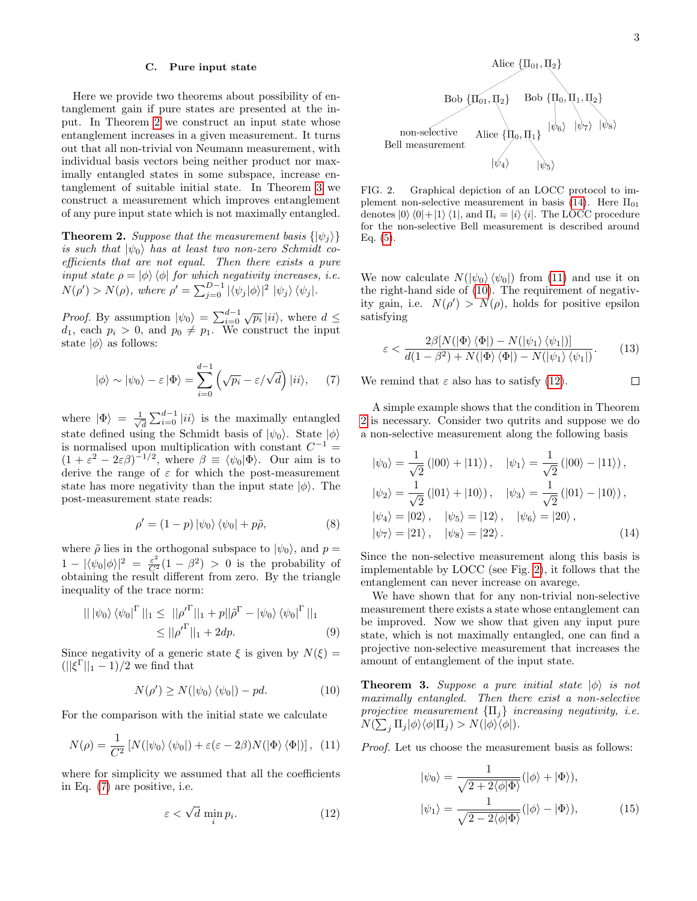#### C. Pure input state

Here we provide two theorems about possibility of entanglement gain if pure states are presented at the input. In Theorem [2](#page-2-0) we construct an input state whose entanglement increases in a given measurement. It turns out that all non-trivial von Neumann measurement, with individual basis vectors being neither product nor maximally entangled states in some subspace, increase entanglement of suitable initial state. In Theorem [3](#page-2-1) we construct a measurement which improves entanglement of any pure input state which is not maximally entangled.

<span id="page-2-0"></span>**Theorem 2.** Suppose that the measurement basis  $\{|\psi_i\rangle\}$ is such that  $|\psi_0\rangle$  has at least two non-zero Schmidt coefficients that are not equal. Then there exists a pure input state  $\rho = |\phi\rangle \langle \phi|$  for which negativity increases, i.e.  $N(\rho') > N(\rho)$ , where  $\rho' = \sum_{j=0}^{D-1} |\langle \psi_j | \phi \rangle|^2 |\psi_j \rangle \langle \psi_j|.$ 

*Proof.* By assumption  $|\psi_0\rangle = \sum_{i=0}^{d-1} \sqrt{p_i} |ii\rangle$ , where  $d \leq$  $d_1$ , each  $p_i > 0$ , and  $p_0 \neq p_1$ . We construct the input state  $|\phi\rangle$  as follows:

<span id="page-2-2"></span>
$$
|\phi\rangle \sim |\psi_0\rangle - \varepsilon |\Phi\rangle = \sum_{i=0}^{d-1} \left( \sqrt{p_i} - \varepsilon/\sqrt{d} \right) |ii\rangle, \quad (7)
$$

where  $|\Phi\rangle = \frac{1}{\sqrt{2}}$  $\frac{1}{d} \sum_{i=0}^{d-1} |ii\rangle$  is the maximally entangled state defined using the Schmidt basis of  $|\psi_0\rangle$ . State  $|\phi\rangle$ is normalised upon multiplication with constant  $C^{-1}$  =  $(1 + \varepsilon^2 - 2\varepsilon \beta)^{-1/2}$ , where  $\beta \equiv \langle \psi_0 | \Phi \rangle$ . Our aim is to derive the range of  $\varepsilon$  for which the post-measurement state has more negativity than the input state  $|\phi\rangle$ . The post-measurement state reads:

$$
\rho' = (1 - p) |\psi_0\rangle \langle \psi_0| + p\tilde{\rho}, \tag{8}
$$

where  $\tilde{\rho}$  lies in the orthogonal subspace to  $|\psi_0\rangle$ , and  $p =$  $1 - |\langle \psi_0 | \phi \rangle|^2 = \frac{\varepsilon^2}{C^2} (1 - \beta^2) > 0$  is the probability of obtaining the result different from zero. By the triangle inequality of the trace norm:

$$
|| |\psi_0\rangle \langle \psi_0|^{\Gamma} ||_1 \le ||\rho'^{\Gamma}||_1 + p ||\tilde{\rho}^{\Gamma} - |\psi_0\rangle \langle \psi_0|^{\Gamma} ||_1
$$
  

$$
\le ||\rho'^{\Gamma}||_1 + 2dp. \tag{9}
$$

Since negativity of a generic state  $\xi$  is given by  $N(\xi) =$  $(||\xi^{\Gamma}||_1 - 1)/2$  we find that

<span id="page-2-5"></span>
$$
N(\rho') \ge N(|\psi_0\rangle \langle \psi_0|) - pd. \tag{10}
$$

For the comparison with the initial state we calculate

<span id="page-2-4"></span>
$$
N(\rho) = \frac{1}{C^2} \left[ N(|\psi_0\rangle \langle \psi_0|) + \varepsilon (\varepsilon - 2\beta) N(|\Phi\rangle \langle \Phi|) \right], (11)
$$

where for simplicity we assumed that all the coefficients in Eq. [\(7\)](#page-2-2) are positive, i.e.

<span id="page-2-6"></span>
$$
\varepsilon < \sqrt{d} \min_{i} p_i. \tag{12}
$$

 $\Box$ 



<span id="page-2-7"></span>FIG. 2. Graphical depiction of an LOCC protocol to im-plement non-selective measurement in basis [\(14\)](#page-2-3). Here  $\Pi_{01}$ denotes  $|0\rangle\langle 0|+|1\rangle\langle 1|$ , and  $\Pi_i = |i\rangle\langle i|$ . The LOCC procedure for the non-selective Bell measurement is described around Eq.  $(5)$ .

We now calculate  $N(\ket{\psi_0}\bra{\psi_0})$  from [\(11\)](#page-2-4) and use it on the right-hand side of [\(10\)](#page-2-5). The requirement of negativity gain, i.e.  $N(\rho') > N(\rho)$ , holds for positive epsilon satisfying

$$
\varepsilon < \frac{2\beta [N(|\Phi\rangle\langle\Phi|) - N(|\psi_1\rangle\langle\psi_1|)]}{d(1 - \beta^2) + N(|\Phi\rangle\langle\Phi|) - N(|\psi_1\rangle\langle\psi_1|)}.\tag{13}
$$

We remind that  $\varepsilon$  also has to satisfy [\(12\)](#page-2-6).

A simple example shows that the condition in Theorem [2](#page-2-0) is necessary. Consider two qutrits and suppose we do a non-selective measurement along the following basis

<span id="page-2-3"></span>
$$
|\psi_0\rangle = \frac{1}{\sqrt{2}} (|00\rangle + |11\rangle), \quad |\psi_1\rangle = \frac{1}{\sqrt{2}} (|00\rangle - |11\rangle),
$$
  

$$
|\psi_2\rangle = \frac{1}{\sqrt{2}} (|01\rangle + |10\rangle), \quad |\psi_3\rangle = \frac{1}{\sqrt{2}} (|01\rangle - |10\rangle),
$$
  

$$
|\psi_4\rangle = |02\rangle, \quad |\psi_5\rangle = |12\rangle, \quad |\psi_6\rangle = |20\rangle,
$$
  

$$
|\psi_7\rangle = |21\rangle, \quad |\psi_8\rangle = |22\rangle.
$$
 (14)

Since the non-selective measurement along this basis is implementable by LOCC (see Fig. [2\)](#page-2-7), it follows that the entanglement can never increase on avarege.

We have shown that for any non-trivial non-selective measurement there exists a state whose entanglement can be improved. Now we show that given any input pure state, which is not maximally entangled, one can find a projective non-selective measurement that increases the amount of entanglement of the input state.

<span id="page-2-1"></span>**Theorem 3.** Suppose a pure initial state  $|\phi\rangle$  is not maximally entangled. Then there exist a non-selective projective measurement  $\{\Pi_j\}$  increasing negativity, i.e.  $N(\sum_j \Pi_j |\phi\rangle\langle\phi| \Pi_j) > N(|\phi\rangle\langle\phi|).$ 

Proof. Let us choose the measurement basis as follows:

<span id="page-2-8"></span>
$$
|\psi_0\rangle = \frac{1}{\sqrt{2 + 2\langle \phi | \Phi \rangle}} (|\phi \rangle + |\Phi \rangle),
$$

$$
|\psi_1\rangle = \frac{1}{\sqrt{2 - 2\langle \phi | \Phi \rangle}} (|\phi \rangle - |\Phi \rangle), \tag{15}
$$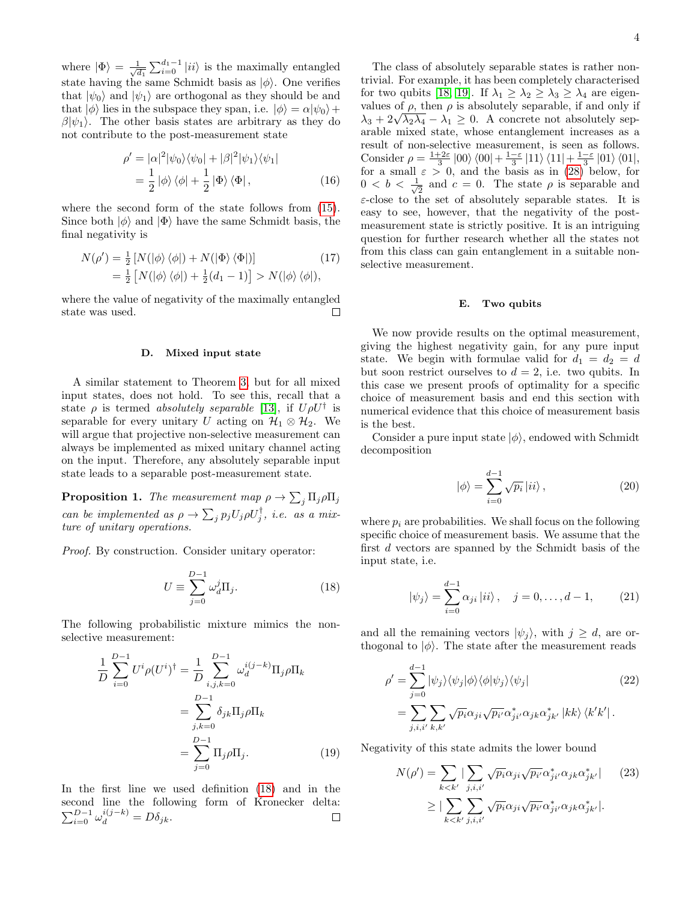where  $|\Phi\rangle = \frac{1}{\sqrt{6}}$  $\frac{1}{d_1}\sum_{i=0}^{d_1-1} |ii\rangle$  is the maximally entangled state having the same Schmidt basis as  $|\phi\rangle$ . One verifies that  $|\psi_0\rangle$  and  $|\psi_1\rangle$  are orthogonal as they should be and that  $|\phi\rangle$  lies in the subspace they span, i.e.  $|\phi\rangle = \alpha |\psi_0\rangle +$  $\beta|\psi_1\rangle$ . The other basis states are arbitrary as they do not contribute to the post-measurement state

$$
\rho' = |\alpha|^2 |\psi_0\rangle\langle\psi_0| + |\beta|^2 |\psi_1\rangle\langle\psi_1|
$$
  
=  $\frac{1}{2} |\phi\rangle \langle\phi| + \frac{1}{2} |\Phi\rangle \langle\Phi|$ , (16)

where the second form of the state follows from [\(15\)](#page-2-8). Since both  $|\phi\rangle$  and  $|\Phi\rangle$  have the same Schmidt basis, the final negativity is

$$
N(\rho') = \frac{1}{2} [N(|\phi\rangle\langle\phi|) + N(|\Phi\rangle\langle\Phi|)]
$$
  
= 
$$
\frac{1}{2} [N(|\phi\rangle\langle\phi|) + \frac{1}{2}(d_1 - 1)] > N(|\phi\rangle\langle\phi|),
$$
 (17)

where the value of negativity of the maximally entangled state was used.  $\Box$ 

#### D. Mixed input state

A similar statement to Theorem [3,](#page-2-1) but for all mixed input states, does not hold. To see this, recall that a state  $\rho$  is termed absolutely separable [\[13\]](#page-8-1), if  $U\rho U^{\dagger}$  is separable for every unitary U acting on  $\mathcal{H}_1 \otimes \mathcal{H}_2$ . We will argue that projective non-selective measurement can always be implemented as mixed unitary channel acting on the input. Therefore, any absolutely separable input state leads to a separable post-measurement state.

**Proposition 1.** The measurement map  $\rho \to \sum_j \Pi_j \rho \Pi_j$ can be implemented as  $\rho \to \sum_j p_j U_j \rho U_j^{\dagger}$ , i.e. as a mixture of unitary operations.

Proof. By construction. Consider unitary operator:

<span id="page-3-0"></span>
$$
U \equiv \sum_{j=0}^{D-1} \omega_d^j \Pi_j.
$$
 (18)

The following probabilistic mixture mimics the nonselective measurement:

$$
\frac{1}{D} \sum_{i=0}^{D-1} U^i \rho(U^i)^{\dagger} = \frac{1}{D} \sum_{i,j,k=0}^{D-1} \omega_d^{i(j-k)} \Pi_j \rho \Pi_k
$$

$$
= \sum_{j,k=0}^{D-1} \delta_{jk} \Pi_j \rho \Pi_k
$$

$$
= \sum_{j=0}^{D-1} \Pi_j \rho \Pi_j.
$$
(19)

In the first line we used definition [\(18\)](#page-3-0) and in the second line the following form of Kronecker delta:  $\sum_{i=0}^{D-1} \omega_d^{i(j-k)} = D\delta_{jk}.$  $\Box$ 

The class of absolutely separable states is rather nontrivial. For example, it has been completely characterised for two qubits [\[18,](#page-8-5) [19\]](#page-8-6). If  $\lambda_1 \geq \lambda_2 \geq \lambda_3 \geq \lambda_4$  are eigenvalues of  $\rho$ , then  $\rho$  is absolutely separable, if and only if values of  $\rho$ , then  $\rho$  is absolutely separable, if and only if  $\lambda_3 + 2\sqrt{\lambda_2\lambda_4} - \lambda_1 \geq 0$ . A concrete not absolutely separable mixed state, whose entanglement increases as a result of non-selective measurement, is seen as follows. Consider  $\rho = \frac{1+2\varepsilon}{3} |00\rangle \langle 00| + \frac{1-\varepsilon}{3} |11\rangle \langle 11| + \frac{1-\varepsilon}{3} |01\rangle \langle 01|,$ for a small  $\varepsilon > 0$ , and the basis as in [\(28\)](#page-4-0) below, for  $0 < b < \frac{1}{\sqrt{2}}$  $\frac{1}{2}$  and  $c = 0$ . The state  $\rho$  is separable and  $\varepsilon$ -close to the set of absolutely separable states. It is easy to see, however, that the negativity of the postmeasurement state is strictly positive. It is an intriguing question for further research whether all the states not from this class can gain entanglement in a suitable nonselective measurement.

## E. Two qubits

We now provide results on the optimal measurement, giving the highest negativity gain, for any pure input state. We begin with formulae valid for  $d_1 = d_2 = d$ but soon restrict ourselves to  $d = 2$ , i.e. two qubits. In this case we present proofs of optimality for a specific choice of measurement basis and end this section with numerical evidence that this choice of measurement basis is the best.

Consider a pure input state  $|\phi\rangle$ , endowed with Schmidt decomposition

$$
|\phi\rangle = \sum_{i=0}^{d-1} \sqrt{p_i} |ii\rangle , \qquad (20)
$$

where  $p_i$  are probabilities. We shall focus on the following specific choice of measurement basis. We assume that the first d vectors are spanned by the Schmidt basis of the input state, i.e.

$$
|\psi_j\rangle = \sum_{i=0}^{d-1} \alpha_{ji} |ii\rangle, \quad j = 0, ..., d-1,
$$
 (21)

and all the remaining vectors  $|\psi_i\rangle$ , with  $j \geq d$ , are orthogonal to  $|\phi\rangle$ . The state after the measurement reads

$$
\rho' = \sum_{j=0}^{d-1} |\psi_j\rangle\langle\psi_j|\phi\rangle\langle\phi|\psi_j\rangle\langle\psi_j|
$$
\n
$$
= \sum_{j,i,i'} \sum_{k,k'} \sqrt{p_i} \alpha_{ji} \sqrt{p_{i'}} \alpha_{ji'}^* \alpha_{jk} \alpha_{jk'}^* |kk\rangle\langle k'k'|.
$$
\n(22)

Negativity of this state admits the lower bound

<span id="page-3-1"></span>
$$
N(\rho') = \sum_{k < k'} |\sum_{j,i,i'} \sqrt{p_i} \alpha_{ji} \sqrt{p_{i'}} \alpha_{ji'}^* \alpha_{jk} \alpha_{jk'}^*| \qquad (23)
$$
\n
$$
\geq |\sum_{k < k'} \sum_{j,i,i'} \sqrt{p_i} \alpha_{ji} \sqrt{p_{i'}} \alpha_{ji'}^* \alpha_{jk} \alpha_{jk'}^*|.
$$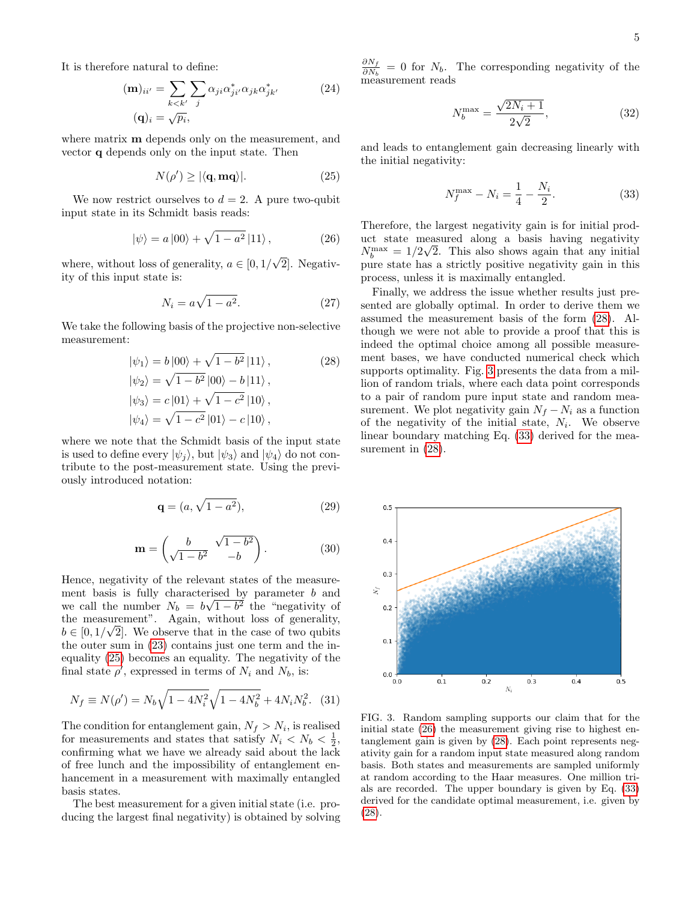It is therefore natural to define:

$$
(\mathbf{m})_{ii'} = \sum_{k < k'} \sum_{j} \alpha_{ji} \alpha_{ji'}^* \alpha_{jk} \alpha_{jk'}^* \tag{24}
$$
\n
$$
(\mathbf{q})_i = \sqrt{p_i},
$$

where matrix **m** depends only on the measurement, and vector q depends only on the input state. Then

<span id="page-4-1"></span>
$$
N(\rho') \ge |\langle \mathbf{q}, \mathbf{mq} \rangle|. \tag{25}
$$

We now restrict ourselves to  $d = 2$ . A pure two-qubit input state in its Schmidt basis reads:

<span id="page-4-4"></span>
$$
|\psi\rangle = a|00\rangle + \sqrt{1 - a^2}|11\rangle, \qquad (26)
$$

where, without loss of generality,  $a \in [0, 1]$ 2]. Negativity of this input state is:

$$
N_i = a\sqrt{1 - a^2}.\tag{27}
$$

We take the following basis of the projective non-selective measurement:

<span id="page-4-0"></span>
$$
|\psi_1\rangle = b|00\rangle + \sqrt{1 - b^2}|11\rangle, \qquad (28)
$$
  

$$
|\psi_2\rangle = \sqrt{1 - b^2}|00\rangle - b|11\rangle, \qquad (28)
$$
  

$$
|\psi_3\rangle = c|01\rangle + \sqrt{1 - c^2}|10\rangle, \qquad (29)
$$
  

$$
|\psi_4\rangle = \sqrt{1 - c^2}|01\rangle - c|10\rangle,
$$

where we note that the Schmidt basis of the input state is used to define every  $|\psi_i\rangle$ , but  $|\psi_3\rangle$  and  $|\psi_4\rangle$  do not contribute to the post-measurement state. Using the previously introduced notation:

$$
\mathbf{q} = (a, \sqrt{1 - a^2}),\tag{29}
$$

$$
\mathbf{m} = \begin{pmatrix} b & \sqrt{1 - b^2} \\ \sqrt{1 - b^2} & -b \end{pmatrix}.
$$
 (30)

Hence, negativity of the relevant states of the measurement basis is fully characterised by parameter  $b$  and we call the number  $N_b = b$ √  $\overline{1-b^2}$  the "negativity of the measurement". Again, without loss of generality,  $b \in [0, 1/\sqrt{2}]$ . We observe that in the case of two qubits the outer sum in [\(23\)](#page-3-1) contains just one term and the inequality [\(25\)](#page-4-1) becomes an equality. The negativity of the final state  $\rho'$ , expressed in terms of  $N_i$  and  $N_b$ , is:

$$
N_f \equiv N(\rho') = N_b \sqrt{1 - 4N_i^2} \sqrt{1 - 4N_b^2} + 4N_i N_b^2. \quad (31)
$$

The condition for entanglement gain,  $N_f > N_i$ , is realised for measurements and states that satisfy  $N_i < N_b < \frac{1}{2}$ , confirming what we have we already said about the lack of free lunch and the impossibility of entanglement enhancement in a measurement with maximally entangled basis states.

The best measurement for a given initial state (i.e. producing the largest final negativity) is obtained by solving

 $\partial N_f$  $\frac{\partial N_f}{\partial N_b} = 0$  for  $N_b$ . The corresponding negativity of the measurement reads

$$
N_b^{\max} = \frac{\sqrt{2N_i + 1}}{2\sqrt{2}},
$$
\n(32)

and leads to entanglement gain decreasing linearly with the initial negativity:

<span id="page-4-3"></span>
$$
N_f^{\text{max}} - N_i = \frac{1}{4} - \frac{N_i}{2}.
$$
 (33)

Therefore, the largest negativity gain is for initial product state measured along a basis having negativity  $N_b^{\text{max}} = 1/2\sqrt{2}$ . This also shows again that any initial pure state has a strictly positive negativity gain in this process, unless it is maximally entangled.

Finally, we address the issue whether results just presented are globally optimal. In order to derive them we assumed the measurement basis of the form [\(28\)](#page-4-0). Although we were not able to provide a proof that this is indeed the optimal choice among all possible measurement bases, we have conducted numerical check which supports optimality. Fig. [3](#page-4-2) presents the data from a million of random trials, where each data point corresponds to a pair of random pure input state and random measurement. We plot negativity gain  $N_f - N_i$  as a function of the negativity of the initial state,  $N_i$ . We observe linear boundary matching Eq. [\(33\)](#page-4-3) derived for the measurement in  $(28)$ .



<span id="page-4-2"></span>FIG. 3. Random sampling supports our claim that for the initial state  $(26)$  the measurement giving rise to highest entanglement gain is given by [\(28\)](#page-4-0). Each point represents negativity gain for a random input state measured along random basis. Both states and measurements are sampled uniformly at random according to the Haar measures. One million trials are recorded. The upper boundary is given by Eq. [\(33\)](#page-4-3) derived for the candidate optimal measurement, i.e. given by [\(28\)](#page-4-0).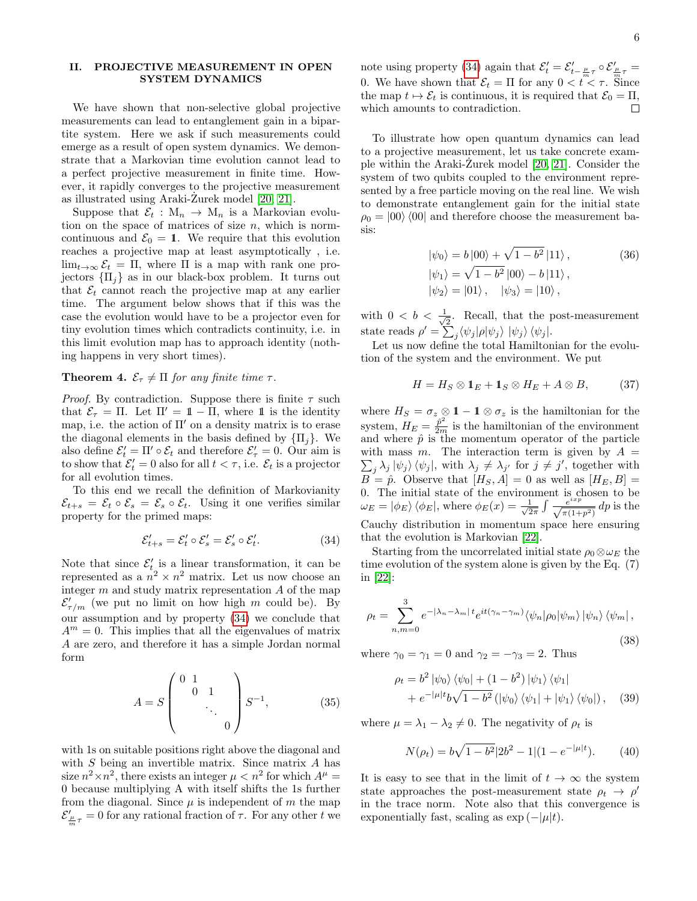# II. PROJECTIVE MEASUREMENT IN OPEN SYSTEM DYNAMICS

We have shown that non-selective global projective measurements can lead to entanglement gain in a bipartite system. Here we ask if such measurements could emerge as a result of open system dynamics. We demonstrate that a Markovian time evolution cannot lead to a perfect projective measurement in finite time. However, it rapidly converges to the projective measurement as illustrated using Araki-Zurek model  $[20, 21]$  $[20, 21]$ .

Suppose that  $\mathcal{E}_t : M_n \to M_n$  is a Markovian evolution on the space of matrices of size  $n$ , which is normcontinuous and  $\mathcal{E}_0 = 1$ . We require that this evolution reaches a projective map at least asymptotically , i.e.  $\lim_{t\to\infty} \mathcal{E}_t = \Pi$ , where  $\Pi$  is a map with rank one projectors  $\{\Pi_i\}$  as in our black-box problem. It turns out that  $\mathcal{E}_t$  cannot reach the projective map at any earlier time. The argument below shows that if this was the case the evolution would have to be a projector even for tiny evolution times which contradicts continuity, i.e. in this limit evolution map has to approach identity (nothing happens in very short times).

# **Theorem 4.**  $\mathcal{E}_{\tau} \neq \Pi$  for any finite time  $\tau$ .

*Proof.* By contradiction. Suppose there is finite  $\tau$  such that  $\mathcal{E}_{\tau} = \Pi$ . Let  $\Pi' = \mathbb{1} - \Pi$ , where 1 is the identity map, i.e. the action of  $\Pi'$  on a density matrix is to erase the diagonal elements in the basis defined by  $\{\Pi_i\}$ . We also define  $\mathcal{E}'_t = \Pi' \circ \mathcal{E}_t$  and therefore  $\mathcal{E}'_\tau = 0$ . Our aim is to show that  $\mathcal{E}'_t = 0$  also for all  $t < \tau$ , i.e.  $\mathcal{E}_t$  is a projector for all evolution times.

To this end we recall the definition of Markovianity  $\mathcal{E}_{t+s} = \mathcal{E}_t \circ \mathcal{E}_s = \mathcal{E}_s \circ \mathcal{E}_t$ . Using it one verifies similar property for the primed maps:

<span id="page-5-0"></span>
$$
\mathcal{E}'_{t+s} = \mathcal{E}'_t \circ \mathcal{E}'_s = \mathcal{E}'_s \circ \mathcal{E}'_t. \tag{34}
$$

Note that since  $\mathcal{E}'_t$  is a linear transformation, it can be represented as a  $n^2 \times n^2$  matrix. Let us now choose an integer  $m$  and study matrix representation  $A$  of the map  $\mathcal{E}'_{\tau/m}$  (we put no limit on how high m could be). By our assumption and by property [\(34\)](#page-5-0) we conclude that  $A^m = 0$ . This implies that all the eigenvalues of matrix A are zero, and therefore it has a simple Jordan normal form

$$
A = S \begin{pmatrix} 0 & 1 & & \\ & 0 & 1 & \\ & & \ddots & \\ & & & 0 \end{pmatrix} S^{-1}, \quad (35)
$$

with 1s on suitable positions right above the diagonal and with  $S$  being an invertible matrix. Since matrix  $A$  has size  $n^2 \times n^2$ , there exists an integer  $\mu < n^2$  for which  $A^{\mu} =$ 0 because multiplying A with itself shifts the 1s further from the diagonal. Since  $\mu$  is independent of m the map  $\mathcal{E}'_{\frac{\mu}{m}\tau} = 0$  for any rational fraction of  $\tau$ . For any other t we

note using property [\(34\)](#page-5-0) again that  $\mathcal{E}'_t = \mathcal{E}'_{t-\frac{\mu}{m}\tau} \circ \mathcal{E}'_{\frac{\mu}{m}\tau} =$ 0. We have shown that  $\mathcal{E}_t = \Pi$  for any  $0 < t < \tau$ . Since the map  $t \mapsto \mathcal{E}_t$  is continuous, it is required that  $\mathcal{E}_0 = \Pi$ , which amounts to contradiction.

To illustrate how open quantum dynamics can lead to a projective measurement, let us take concrete example within the Araki-Zurek model  $[20, 21]$  $[20, 21]$ . Consider the system of two qubits coupled to the environment represented by a free particle moving on the real line. We wish to demonstrate entanglement gain for the initial state  $\rho_0 = |00\rangle\langle 00|$  and therefore choose the measurement basis:

$$
|\psi_0\rangle = b |00\rangle + \sqrt{1 - b^2} |11\rangle, \qquad (36)
$$
  

$$
|\psi_1\rangle = \sqrt{1 - b^2} |00\rangle - b |11\rangle, |\psi_2\rangle = |01\rangle, \qquad |\psi_3\rangle = |10\rangle,
$$

with  $0 < b < \frac{1}{4}$  $\frac{1}{2}$ . Recall, that the post-measurement state reads  $\rho' = \sum_j \langle \psi_j | \rho | \psi_j \rangle \; | \psi_j \rangle \; \langle \psi_j |.$ 

Let us now define the total Hamiltonian for the evolution of the system and the environment. We put

$$
H = H_S \otimes \mathbf{1}_E + \mathbf{1}_S \otimes H_E + A \otimes B, \tag{37}
$$

where  $H_S = \sigma_z \otimes 1 - 1 \otimes \sigma_z$  is the hamiltonian for the system,  $H_E = \frac{\hat{p}^2}{2m}$  is the hamiltonian of the environment and where  $\hat{p}$  is the momentum operator of the particle with mass m. The interaction term is given by  $A =$  $\sum_j \lambda_j |\psi_j\rangle \langle \psi_j|$ , with  $\lambda_j \neq \lambda_{j'}$  for  $j \neq j'$ , together with  $B = \hat{p}$ . Observe that  $[H_S, A] = 0$  as well as  $[H_E, B] =$ 0. The initial state of the environment is chosen to be  $\omega_E = |\phi_E\rangle \langle \phi_E|$ , where  $\phi_E(x) = \frac{1}{\sqrt{2}}$  $rac{1}{2\pi} \int \frac{e^{ixp}}{\sqrt{\pi(1+p^2)}} dp$  is the Cauchy distribution in momentum space here ensuring that the evolution is Markovian [\[22\]](#page-8-9).

Starting from the uncorrelated initial state  $\rho_0 \otimes \omega_E$  the time evolution of the system alone is given by the Eq. (7) in [\[22\]](#page-8-9):

$$
\rho_t = \sum_{n,m=0}^{3} e^{-|\lambda_n - \lambda_m| t} e^{it(\gamma_n - \gamma_m)} \langle \psi_n | \rho_0 | \psi_m \rangle \, |\psi_n \rangle \, \langle \psi_m | \,,
$$
\n(38)

where  $\gamma_0 = \gamma_1 = 0$  and  $\gamma_2 = -\gamma_3 = 2$ . Thus

$$
\rho_t = b^2 |\psi_0\rangle \langle \psi_0| + (1 - b^2) |\psi_1\rangle \langle \psi_1|
$$
  
+ 
$$
e^{-|\mu|t} b \sqrt{1 - b^2} (|\psi_0\rangle \langle \psi_1| + |\psi_1\rangle \langle \psi_0|), \quad (39)
$$

where  $\mu = \lambda_1 - \lambda_2 \neq 0$ . The negativity of  $\rho_t$  is

$$
N(\rho_t) = b\sqrt{1 - b^2}|2b^2 - 1|(1 - e^{-|\mu|t}). \tag{40}
$$

It is easy to see that in the limit of  $t \to \infty$  the system state approaches the post-measurement state  $\rho_t \rightarrow \rho'$ in the trace norm. Note also that this convergence is exponentially fast, scaling as  $\exp(-|\mu|t)$ .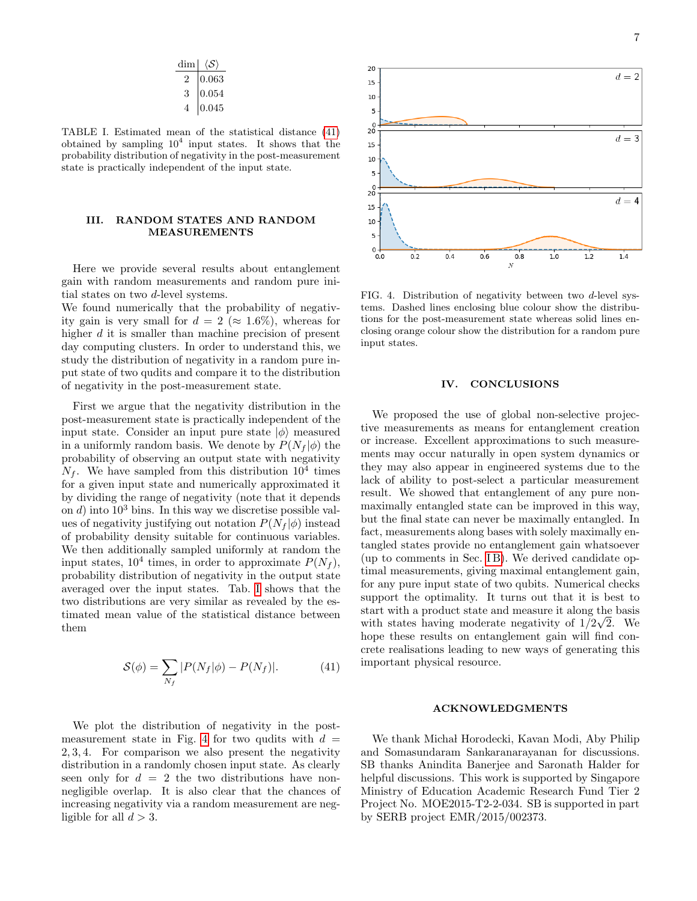$$
\begin{array}{c|c}\n\dim & \langle \mathcal{S} \rangle \\
\hline\n2 & 0.063 \\
3 & 0.054 \\
4 & 0.045\n\end{array}
$$

<span id="page-6-1"></span>TABLE I. Estimated mean of the statistical distance [\(41\)](#page-6-0) obtained by sampling  $10^4$  input states. It shows that the probability distribution of negativity in the post-measurement state is practically independent of the input state.

# III. RANDOM STATES AND RANDOM MEASUREMENTS

Here we provide several results about entanglement gain with random measurements and random pure initial states on two d-level systems.

We found numerically that the probability of negativity gain is very small for  $d = 2 \approx 1.6\%$ , whereas for higher d it is smaller than machine precision of present day computing clusters. In order to understand this, we study the distribution of negativity in a random pure input state of two qudits and compare it to the distribution of negativity in the post-measurement state.

First we argue that the negativity distribution in the post-measurement state is practically independent of the input state. Consider an input pure state  $|\phi\rangle$  measured in a uniformly random basis. We denote by  $P(N_f | \phi)$  the probability of observing an output state with negativity  $N_f$ . We have sampled from this distribution  $10^4$  times for a given input state and numerically approximated it by dividing the range of negativity (note that it depends on d) into  $10^3$  bins. In this way we discretise possible values of negativity justifying out notation  $P(N_f | \phi)$  instead of probability density suitable for continuous variables. We then additionally sampled uniformly at random the input states,  $10^4$  times, in order to approximate  $P(N_f)$ , probability distribution of negativity in the output state averaged over the input states. Tab. [I](#page-6-1) shows that the two distributions are very similar as revealed by the estimated mean value of the statistical distance between them

<span id="page-6-0"></span>
$$
\mathcal{S}(\phi) = \sum_{N_f} |P(N_f|\phi) - P(N_f)|. \tag{41}
$$

We plot the distribution of negativity in the post-measurement state in Fig. [4](#page-6-2) for two qudits with  $d =$ 2, 3, 4. For comparison we also present the negativity distribution in a randomly chosen input state. As clearly seen only for  $d = 2$  the two distributions have nonnegligible overlap. It is also clear that the chances of increasing negativity via a random measurement are negligible for all  $d > 3$ .



<span id="page-6-2"></span>FIG. 4. Distribution of negativity between two d-level systems. Dashed lines enclosing blue colour show the distributions for the post-measurement state whereas solid lines enclosing orange colour show the distribution for a random pure input states.

#### IV. CONCLUSIONS

We proposed the use of global non-selective projective measurements as means for entanglement creation or increase. Excellent approximations to such measurements may occur naturally in open system dynamics or they may also appear in engineered systems due to the lack of ability to post-select a particular measurement result. We showed that entanglement of any pure nonmaximally entangled state can be improved in this way, but the final state can never be maximally entangled. In fact, measurements along bases with solely maximally entangled states provide no entanglement gain whatsoever  $($ up to comments in Sec. IB $)$ . We derived candidate optimal measurements, giving maximal entanglement gain, for any pure input state of two qubits. Numerical checks support the optimality. It turns out that it is best to start with a product state and measure it along the basis with states having moderate negativity of  $1/2\sqrt{2}$ . We hope these results on entanglement gain will find concrete realisations leading to new ways of generating this important physical resource.

## ACKNOWLEDGMENTS

We thank Michał Horodecki, Kavan Modi, Aby Philip and Somasundaram Sankaranarayanan for discussions. SB thanks Anindita Banerjee and Saronath Halder for helpful discussions. This work is supported by Singapore Ministry of Education Academic Research Fund Tier 2 Project No. MOE2015-T2-2-034. SB is supported in part by SERB project EMR/2015/002373.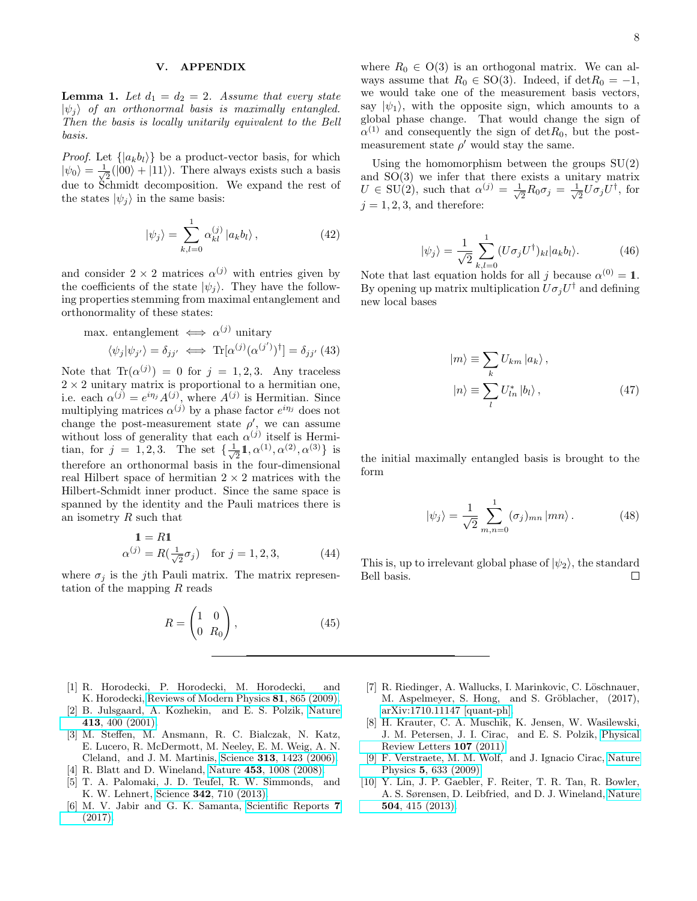## V. APPENDIX

<span id="page-7-5"></span>**Lemma 1.** Let  $d_1 = d_2 = 2$ . Assume that every state  $|\psi_i\rangle$  of an orthonormal basis is maximally entangled. Then the basis is locally unitarily equivalent to the Bell basis.

*Proof.* Let  $\{ |a_k b_l \rangle \}$  be a product-vector basis, for which  $|\psi_0\rangle = \frac{1}{\sqrt{2}}$  $\frac{1}{2}(|00\rangle + |11\rangle)$ . There always exists such a basis due to Schmidt decomposition. We expand the rest of the states  $|\psi_j\rangle$  in the same basis:

$$
|\psi_j\rangle = \sum_{k,l=0}^{1} \alpha_{kl}^{(j)} |a_k b_l\rangle, \qquad (42)
$$

and consider  $2 \times 2$  matrices  $\alpha^{(j)}$  with entries given by the coefficients of the state  $|\psi_j\rangle$ . They have the following properties stemming from maximal entanglement and orthonormality of these states:

max. entanglement 
$$
\iff \alpha^{(j)}
$$
 unitary  
\n $\langle \psi_j | \psi_{j'} \rangle = \delta_{jj'} \iff \text{Tr}[\alpha^{(j)}(\alpha^{(j')})^{\dagger}] = \delta_{jj'}$  (43)

Note that  $\text{Tr}(\alpha^{(j)}) = 0$  for  $j = 1, 2, 3$ . Any traceless  $2 \times 2$  unitary matrix is proportional to a hermitian one, i.e. each  $\alpha^{(j)} = e^{i\eta_j} A^{(j)}$ , where  $A^{(j)}$  is Hermitian. Since multiplying matrices  $\alpha^{(j)}$  by a phase factor  $e^{i\eta_j}$  does not change the post-measurement state  $\rho'$ , we can assume without loss of generality that each  $\alpha^{(j)}$  itself is Hermitian, for  $j = 1, 2, 3$ . The set  $\{\frac{1}{\sqrt{2}}\}$  $\frac{1}{2}1, \alpha^{(1)}, \alpha^{(2)}, \alpha^{(3)}$ } is therefore an orthonormal basis in the four-dimensional real Hilbert space of hermitian  $2 \times 2$  matrices with the Hilbert-Schmidt inner product. Since the same space is spanned by the identity and the Pauli matrices there is an isometry  $R$  such that

$$
\mathbf{1} = R\mathbf{1}
$$
  
\n
$$
\alpha^{(j)} = R(\frac{1}{\sqrt{2}}\sigma_j) \quad \text{for } j = 1, 2, 3,
$$
\n(44)

where  $\sigma_j$  is the j<sup>th</sup> Pauli matrix. The matrix representation of the mapping  $R$  reads

$$
R = \begin{pmatrix} 1 & 0 \\ 0 & R_0 \end{pmatrix}, \tag{45}
$$

- <span id="page-7-0"></span>[1] R. Horodecki, P. Horodecki, M. Horodecki, and K. Horodecki, [Reviews of Modern Physics](http://dx.doi.org/10.1103/RevModPhys.81.865) 81, 865 (2009).
- <span id="page-7-1"></span>[2] B. Julsgaard, A. Kozhekin, and E. S. Polzik, [Nature](http://dx.doi.org/10.1038/35096524) 413[, 400 \(2001\).](http://dx.doi.org/10.1038/35096524)
- [3] M. Steffen, M. Ansmann, R. C. Bialczak, N. Katz, E. Lucero, R. McDermott, M. Neeley, E. M. Weig, A. N. Cleland, and J. M. Martinis, Science 313[, 1423 \(2006\).](http://dx.doi.org/10.1126/science.1130886)
- [4] R. Blatt and D. Wineland, Nature 453[, 1008 \(2008\).](http://dx.doi.org/10.1038/nature07125)
- [5] T. A. Palomaki, J. D. Teufel, R. W. Simmonds, and K. W. Lehnert, Science 342[, 710 \(2013\).](http://dx.doi.org/10.1126/science.1244563)
- [6] M. V. Jabir and G. K. Samanta, [Scientific Reports](http://dx.doi.org/10.1038/s41598-017-12709-5) 7 [\(2017\).](http://dx.doi.org/10.1038/s41598-017-12709-5)

where  $R_0 \in O(3)$  is an orthogonal matrix. We can always assume that  $R_0 \in SO(3)$ . Indeed, if det $R_0 = -1$ , we would take one of the measurement basis vectors, say  $|\psi_1\rangle$ , with the opposite sign, which amounts to a global phase change. That would change the sign of  $\alpha^{(1)}$  and consequently the sign of  $\det R_0$ , but the postmeasurement state  $\rho'$  would stay the same.

Using the homomorphism between the groups  $SU(2)$ and SO(3) we infer that there exists a unitary matrix  $U \in SU(2)$ , such that  $\alpha^{(j)} = \frac{1}{\sqrt{2}}$  $\frac{1}{2}R_0\sigma_j=\frac{1}{\sqrt{2}}$  $\frac{1}{2}U\sigma_jU^{\dagger}$ , for  $j = 1, 2, 3$ , and therefore:

$$
|\psi_j\rangle = \frac{1}{\sqrt{2}} \sum_{k,l=0}^{1} (U\sigma_j U^{\dagger})_{kl} |a_k b_l\rangle.
$$
 (46)

Note that last equation holds for all j because  $\alpha^{(0)} = 1$ . By opening up matrix multiplication  $U\sigma_j U^{\dagger}$  and defining new local bases

$$
|m\rangle \equiv \sum_{k} U_{km} |a_{k}\rangle ,
$$
  

$$
|n\rangle \equiv \sum_{l} U_{ln}^{*} |b_{l}\rangle ,
$$
 (47)

the initial maximally entangled basis is brought to the form

$$
|\psi_j\rangle = \frac{1}{\sqrt{2}} \sum_{m,n=0}^{1} (\sigma_j)_{mn} |mn\rangle.
$$
 (48)

This is, up to irrelevant global phase of  $|\psi_2\rangle$ , the standard Bell basis.  $\Box$ 

- <span id="page-7-2"></span>[7] R. Riedinger, A. Wallucks, I. Marinkovic, C. Löschnauer, M. Aspelmeyer, S. Hong, and S. Gröblacher, (2017), [arXiv:1710.11147 \[quant-ph\].](http://arxiv.org/abs/1710.11147)
- <span id="page-7-3"></span>[8] H. Krauter, C. A. Muschik, K. Jensen, W. Wasilewski, J. M. Petersen, J. I. Cirac, and E. S. Polzik, [Physical](http://dx.doi.org/10.1103/PhysRevLett.107.080503) [Review Letters](http://dx.doi.org/10.1103/PhysRevLett.107.080503) 107 (2011).
- [9] F. Verstraete, M. M. Wolf, and J. Ignacio Cirac, [Nature](http://dx.doi.org/10.1038/nphys1342) Physics 5[, 633 \(2009\).](http://dx.doi.org/10.1038/nphys1342)
- <span id="page-7-4"></span>[10] Y. Lin, J. P. Gaebler, F. Reiter, T. R. Tan, R. Bowler, A. S. Sørensen, D. Leibfried, and D. J. Wineland, [Nature](http://dx.doi.org/10.1038/nature12801) 504[, 415 \(2013\).](http://dx.doi.org/10.1038/nature12801)